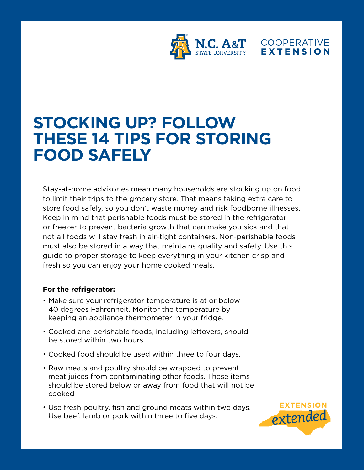

## **STOCKING UP? FOLLOW THESE 14 TIPS FOR STORING FOOD SAFELY**

Stay-at-home advisories mean many households are stocking up on food to limit their trips to the grocery store. That means taking extra care to store food safely, so you don't waste money and risk foodborne illnesses. Keep in mind that perishable foods must be stored in the refrigerator or freezer to prevent bacteria growth that can make you sick and that not all foods will stay fresh in air-tight containers. Non-perishable foods must also be stored in a way that maintains quality and safety. Use this guide to proper storage to keep everything in your kitchen crisp and fresh so you can enjoy your home cooked meals.

## **For the refrigerator:**

- Make sure your refrigerator temperature is at or below 40 degrees Fahrenheit. Monitor the temperature by keeping an appliance thermometer in your fridge.
- Cooked and perishable foods, including leftovers, should be stored within two hours.
- Cooked food should be used within three to four days.
- Raw meats and poultry should be wrapped to prevent meat juices from contaminating other foods. These items should be stored below or away from food that will not be cooked
- Use fresh poultry, fish and ground meats within two days. Use beef, lamb or pork within three to five days.

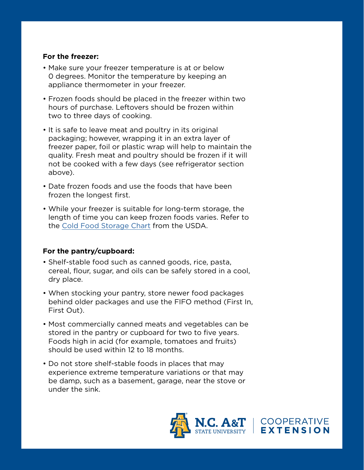## **For the freezer:**

- Make sure your freezer temperature is at or below 0 degrees. Monitor the temperature by keeping an appliance thermometer in your freezer.
- Frozen foods should be placed in the freezer within two hours of purchase. Leftovers should be frozen within two to three days of cooking.
- It is safe to leave meat and poultry in its original packaging; however, wrapping it in an extra layer of freezer paper, foil or plastic wrap will help to maintain the quality. Fresh meat and poultry should be frozen if it will not be cooked with a few days (see refrigerator section above).
- Date frozen foods and use the foods that have been frozen the longest first.
- While your freezer is suitable for long-term storage, the length of time you can keep frozen foods varies. Refer to the [Cold Food Storage Chart](https://www.fsis.usda.gov/wps/wcm/connect/1d403c11-63f0-4671-990e-51c9f8f05b2c/Cold-Food-Storage-Magnet-2017.pdf?MOD=AJPERES) from the USDA.

## **For the pantry/cupboard:**

- Shelf-stable food such as canned goods, rice, pasta, cereal, flour, sugar, and oils can be safely stored in a cool, dry place.
- When stocking your pantry, store newer food packages behind older packages and use the FIFO method (First In, First Out).
- Most commercially canned meats and vegetables can be stored in the pantry or cupboard for two to five years. Foods high in acid (for example, tomatoes and fruits) should be used within 12 to 18 months.
- Do not store shelf-stable foods in places that may experience extreme temperature variations or that may be damp, such as a basement, garage, near the stove or under the sink.